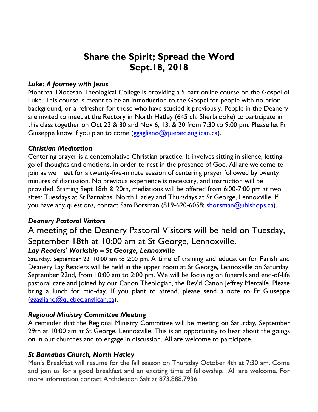## **Share the Spirit; Spread the Word Sept.18, 2018**

#### *Luke: A Journey with Jesus*

Montreal Diocesan Theological College is providing a 5-part online course on the Gospel of Luke. This course is meant to be an introduction to the Gospel for people with no prior background, or a refresher for those who have studied it previously. People in the Deanery are invited to meet at the Rectory in North Hatley (645 ch. Sherbrooke) to participate in this class together on Oct 23 & 30 and Nov 6, 13, & 20 from 7:30 to 9:00 pm. Please let Fr Giuseppe know if you plan to come (ggagliano@quebec.anglican.ca).

#### *Christian Meditation*

Centering prayer is a contemplative Christian practice. It involves sitting in silence, letting go of thoughts and emotions, in order to rest in the presence of God. All are welcome to join as we meet for a twenty-five-minute session of centering prayer followed by twenty minutes of discussion. No previous experience is necessary, and instruction will be provided. Starting Sept 18th & 20th, mediations will be offered from 6:00-7:00 pm at two sites: Tuesdays at St Barnabas, North Hatley and Thursdays at St George, Lennoxville. If you have any questions, contact Sam Borsman (819-620-6058; sborsman@ubishops.ca).

## *Deanery Pastoral Visitors*

# A meeting of the Deanery Pastoral Visitors will be held on Tuesday, September 18th at 10:00 am at St George, Lennoxville.

## *Lay Readers' Workship – St George, Lennoxville*

Saturday, September 22, 10:00 am to 2:00 pm. A time of training and education for Parish and Deanery Lay Readers will be held in the upper room at St George, Lennoxville on Saturday, September 22nd, from 10:00 am to 2:00 pm. We will be focusing on funerals and end-of-life pastoral care and joined by our Canon Theologian, the Rev'd Canon Jeffrey Metcalfe. Please bring a lunch for mid-day. If you plant to attend, please send a note to Fr Giuseppe (ggagliano@quebec.anglican.ca).

#### *Regional Ministry Committee Meeting*

A reminder that the Regional Ministry Committee will be meeting on Saturday, September 29th at 10:00 am at St George, Lennoxville. This is an opportunity to hear about the goings on in our churches and to engage in discussion. All are welcome to participate.

#### *St Barnabas Church, North Hatley*

Men's Breakfast will resume for the fall season on Thursday October 4th at 7:30 am. Come and join us for a good breakfast and an exciting time of fellowship. All are welcome. For more information contact Archdeacon Salt at 873.888.7936.